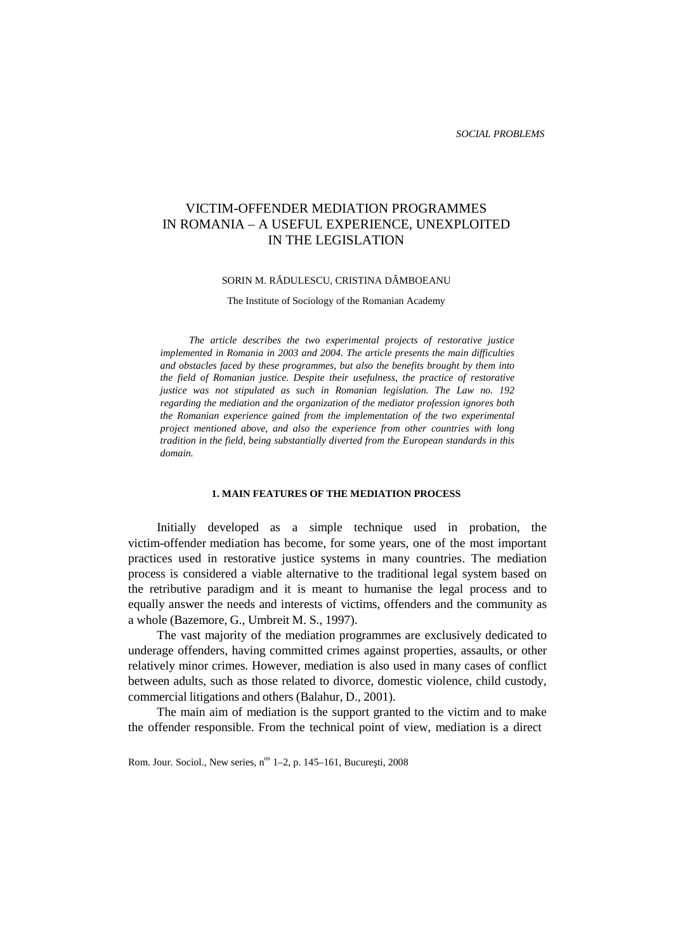# VICTIM-OFFENDER MEDIATION PROGRAMMES IN ROMANIA – A USEFUL EXPERIENCE, UNEXPLOITED IN THE LEGISLATION

#### SORIN M. R DULESCU, CRISTINA DÂMBOEANU

The Institute of Sociology of the Romanian Academy

*The article describes the two experimental projects of restorative justice implemented in Romania in 2003 and 2004. The article presents the main difficulties and obstacles faced by these programmes, but also the benefits brought by them into the field of Romanian justice. Despite their usefulness, the practice of restorative justice was not stipulated as such in Romanian legislation. The Law no. 192 regarding the mediation and the organization of the mediator profession ignores both the Romanian experience gained from the implementation of the two experimental project mentioned above, and also the experience from other countries with long tradition in the field, being substantially diverted from the European standards in this domain.*

#### **1. MAIN FEATURES OF THE MEDIATION PROCESS**

Initially developed as a simple technique used in probation, the victim-offender mediation has become, for some years, one of the most important practices used in restorative justice systems in many countries. The mediation process is considered a viable alternative to the traditional legal system based on the retributive paradigm and it is meant to humanise the legal process and to equally answer the needs and interests of victims, offenders and the community as a whole (Bazemore, G., Umbreit M. S., 1997).

The vast majority of the mediation programmes are exclusively dedicated to underage offenders, having committed crimes against properties, assaults, or other relatively minor crimes. However, mediation is also used in many cases of conflict between adults, such as those related to divorce, domestic violence, child custody, commercial litigations and others (Balahur, D., 2001).

The main aim of mediation is the support granted to the victim and to make the offender responsible. From the technical point of view, mediation is a direct

Rom. Jour. Sociol., New series, n<sup>os</sup> 1–2, p. 145–161, Bucure ti, 2008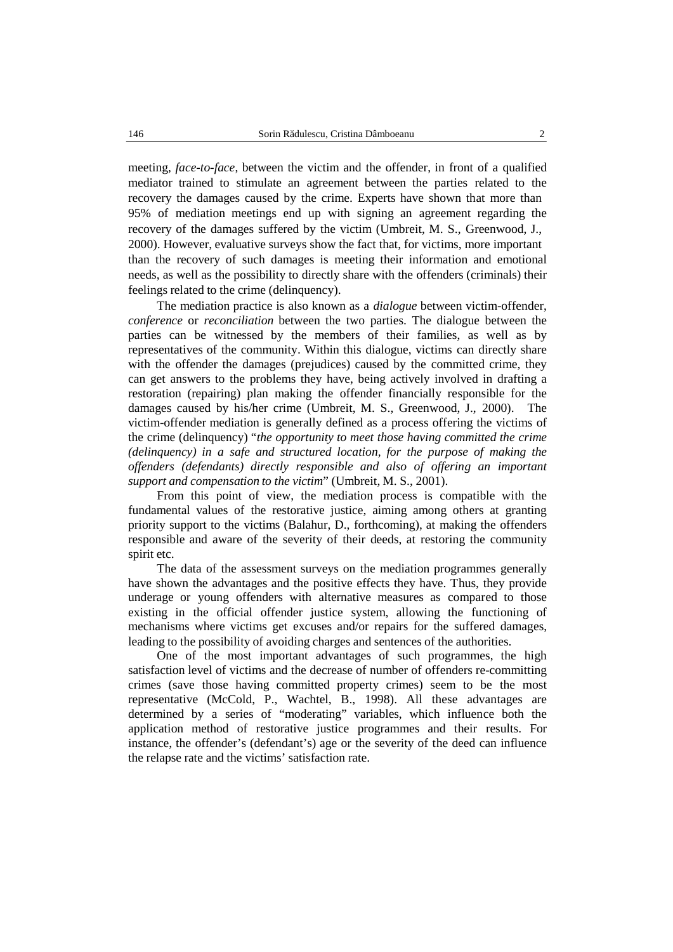meeting, *face-to-face*, between the victim and the offender, in front of a qualified mediator trained to stimulate an agreement between the parties related to the recovery the damages caused by the crime. Experts have shown that more than 95% of mediation meetings end up with signing an agreement regarding the recovery of the damages suffered by the victim (Umbreit, M. S., Greenwood, J., 2000). However, evaluative surveys show the fact that, for victims, more important than the recovery of such damages is meeting their information and emotional needs, as well as the possibility to directly share with the offenders (criminals) their feelings related to the crime (delinquency).

The mediation practice is also known as a *dialogue* between victim-offender, *conference* or *reconciliation* between the two parties. The dialogue between the parties can be witnessed by the members of their families, as well as by representatives of the community. Within this dialogue, victims can directly share with the offender the damages (prejudices) caused by the committed crime, they can get answers to the problems they have, being actively involved in drafting a restoration (repairing) plan making the offender financially responsible for the damages caused by his/her crime (Umbreit, M. S., Greenwood, J., 2000). The victim-offender mediation is generally defined as a process offering the victims of the crime (delinquency) "*the opportunity to meet those having committed the crime (delinquency) in a safe and structured location, for the purpose ofmaking the offenders (defendants) directly responsible and also of offering an important support and compensation to the victim*" (Umbreit, M. S., 2001).

From this point of view, the mediation process is compatible with the fundamental values of the restorative justice, aiming among others at granting priority support to the victims (Balahur, D., forthcoming), at making the offenders responsible and aware of the severity of their deeds, at restoring the community spirit etc.

The data of the assessment surveys on the mediation programmes generally have shown the advantages and the positive effects they have. Thus, they provide underage or young offenders with alternative measures as compared to those existing in the official offender justice system, allowing the functioning of mechanisms where victims get excuses and/or repairs for the suffered damages, leading to the possibility of avoiding charges and sentences of the authorities.

One of the most important advantages of such programmes, the high satisfaction level of victims and the decrease of number of offenders re-committing crimes (save those having committed property crimes) seem to be the most representative (McCold, P., Wachtel, B., 1998). All these advantages are determined by a series of "moderating" variables, which influence both the application method of restorative justice programmes and their results. For instance, the offender's (defendant's) age or the severity of the deed can influence the relapse rate and the victims' satisfaction rate.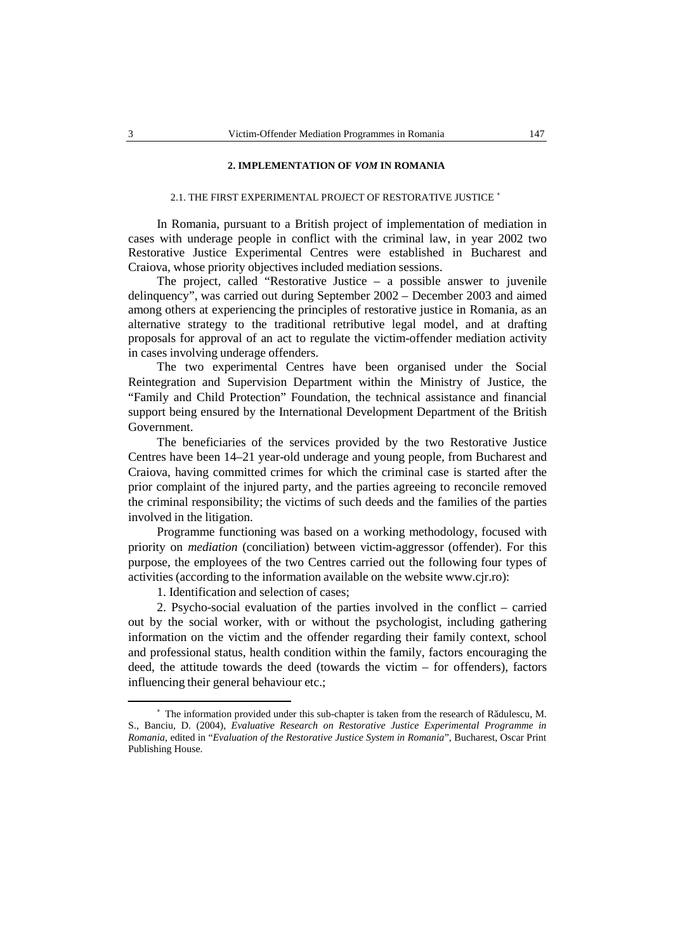### **2. IMPLEMENTATION OF** *VOM* **IN ROMANIA**

#### 2.1. THE FIRST EXPERIMENTAL PROJECT OF RESTORATIVE JUSTICE <sup>∗</sup>

In Romania, pursuant to a British project of implementation of mediation in cases with underage people in conflict with the criminal law, in year 2002 two Restorative Justice Experimental Centres were established in Bucharest and Craiova, whose priority objectives included mediation sessions.

The project, called "Restorative Justice – a possible answer to juvenile delinquency", was carried out during September 2002 – December 2003 and aimed among others at experiencing the principles of restorative justice in Romania, as an alternative strategy to the traditional retributive legal model, and at drafting proposals for approval of an act to regulate the victim-offender mediation activity in cases involving underage offenders.

The two experimental Centres have been organised under the Social Reintegration and Supervision Department within the Ministry of Justice, the "Family and Child Protection" Foundation, the technical assistance and financial support being ensured by the International Development Department of the British Government.

The beneficiaries of the services provided by the two Restorative Justice Centres have been 14–21 year-old underage and young people, from Bucharest and Craiova, having committed crimes for which the criminal case is started after the prior complaint of the injured party, and the parties agreeing to reconcile removed the criminal responsibility; the victims of such deeds and the families of the parties involved in the litigation.

Programme functioning was based on a working methodology, focused with priority on *mediation* (conciliation) between victim-aggressor (offender). For this purpose, the employees of the two Centres carried out the following four types of activities (according to the information available on the website www.cjr.ro):

1. Identification and selection of cases;

2. Psycho-social evaluation of the parties involved in the conflict  $-$  carried out by the social worker, with or without the psychologist, including gathering information on the victim and the offender regarding their family context, school and professional status, health condition within the family, factors encouraging the deed, the attitude towards the deed (towards the victim – for offenders), factors influencing their general behaviour etc.;

 $*$  The information provided under this sub-chapter is taken from the research of R dulescu, M. S., Banciu, D. (2004), *Evaluative Research on Restorative Justice Experimental Programme in Romania*, edited in "*Evaluation of the Restorative Justice System in Romania*", Bucharest, Oscar Print Publishing House.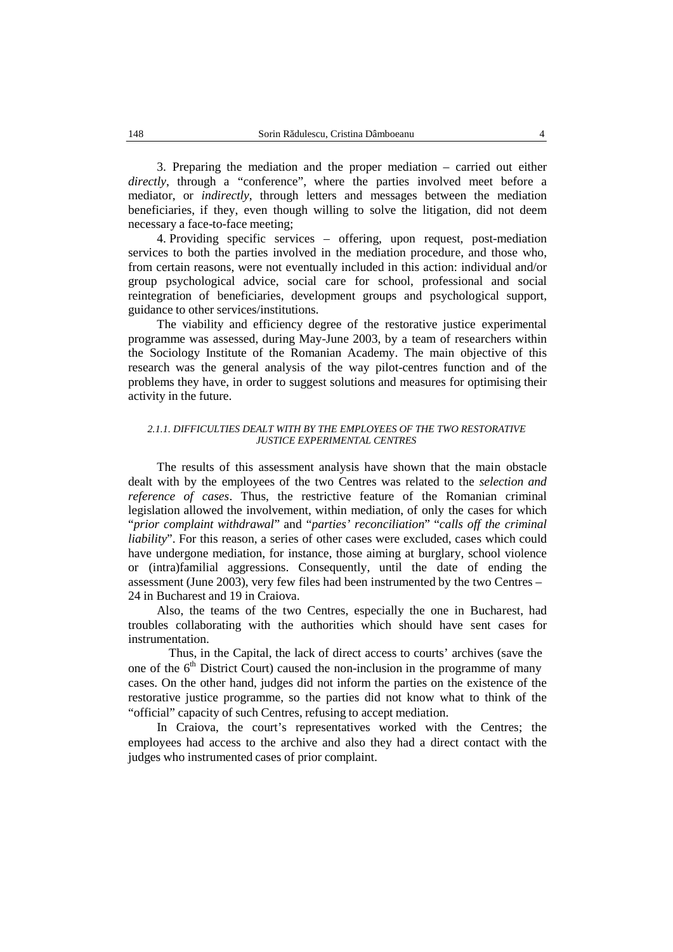3. Preparing the mediation and the proper mediation – carried out either *directly*, through a "conference", where the parties involved meet before a mediator, or *indirectly*, through letters and messages between the mediation beneficiaries, if they, even though willing to solve the litigation, did not deem necessary a face-to-face meeting;

4. Providing specific services – offering, upon request, post-mediation services to both the parties involved in the mediation procedure, and those who, from certain reasons, were not eventually included in this action: individual and/or group psychological advice, social care for school, professional and social reintegration of beneficiaries, development groups and psychological support, guidance to other services/institutions.

The viability and efficiency degree of the restorative justice experimental programme was assessed, during May-June 2003, by a team of researchers within the Sociology Institute of the Romanian Academy. The main objective of this research was the general analysis of the way pilot-centres function and of the problems they have, in order to suggest solutions and measures for optimising their activity in the future.

#### *2.1.1. DIFFICULTIES DEALT WITH BY THE EMPLOYEES OF THE TWO RESTORATIVE JUSTICE EXPERIMENTAL CENTRES*

The results of this assessment analysis have shown that the main obstacle dealt with by the employees of the two Centres was related to the *selection and reference of cases*. Thus, the restrictive feature of the Romanian criminal legislation allowed the involvement, within mediation, of only the cases for which "*prior complaint withdrawal*" and "*parties' reconciliation*" "*calls off the criminal liability*". For this reason, a series of other cases were excluded, cases which could have undergone mediation, for instance, those aiming at burglary, school violence or (intra)familial aggressions. Consequently, until the date of ending the assessment (June 2003), very few files had been instrumented by the two Centres – 24 in Bucharest and 19 in Craiova.

Also, the teams of the two Centres, especially the one in Bucharest, had troubles collaborating with the authorities which should have sent cases for instrumentation.

Thus, in the Capital, the lack of direct access to courts' archives (save the one of the  $6<sup>th</sup>$  District Court) caused the non-inclusion in the programme of many cases. On the other hand, judges did not inform the parties on the existence of the restorative justice programme, so the parties did not know what to think of the "official" capacity of such Centres, refusing to accept mediation.

In Craiova, the court's representatives worked with the Centres; the employees had access to the archive and also they had a direct contact with the judges who instrumented cases of prior complaint.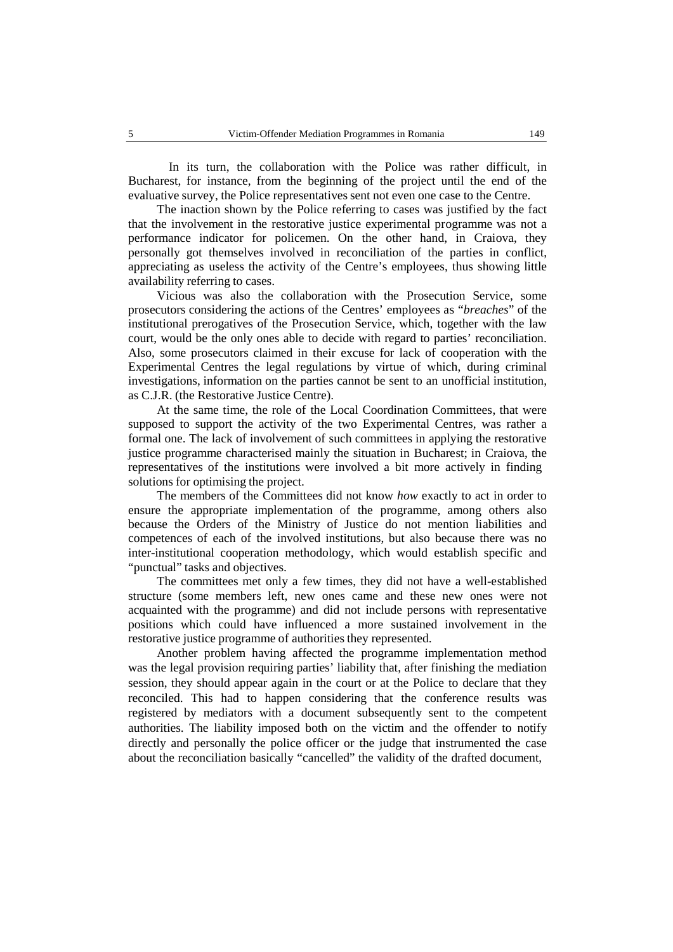In its turn, the collaboration with the Police was rather difficult, in Bucharest, for instance, from the beginning of the project until the end of the evaluative survey, the Police representatives sent not even one case to the Centre.

The inaction shown by the Police referring to cases was justified by the fact that the involvement in the restorative justice experimental programme was not a performance indicator for policemen. On the other hand, in Craiova, they personally got themselves involved in reconciliation of the parties in conflict, appreciating as useless the activity of the Centre's employees, thus showing little availability referring to cases.

Vicious was also the collaboration with the Prosecution Service, some prosecutors considering the actions of the Centres' employees as "*breaches*" of the institutional prerogatives of the Prosecution Service, which, together with the law court, would be the only ones able to decide with regard to parties' reconciliation. Also, some prosecutors claimed in their excuse for lack of cooperation with the Experimental Centres the legal regulations by virtue of which, during criminal investigations, information on the parties cannot be sent to an unofficial institution, as C.J.R. (the Restorative Justice Centre).

At the same time, the role of the Local Coordination Committees, that were supposed to support the activity of the two Experimental Centres, was rather a formal one. The lack of involvement of such committees in applying the restorative justice programme characterised mainly the situation in Bucharest; in Craiova, the representatives of the institutions were involved a bit more actively in finding solutions for optimising the project.

The members of the Committees did not know *how* exactly to act in order to ensure the appropriate implementation of the programme, among others also because the Orders of the Ministry of Justice do not mention liabilities and competences of each of the involved institutions, but also because there was no inter-institutional cooperation methodology, which would establish specific and "punctual" tasks and objectives.

The committees met only a few times, they did nothave a well-established structure (some members left, new ones came and these new ones were not acquainted with the programme) and did not include persons with representative positions which could have influenced a more sustained involvement in the restorative justice programme of authorities they represented.

Another problem having affected the programme implementation method was the legal provision requiring parties' liability that, after finishing the mediation session, they should appear again in the court or at the Police to declare that they reconciled. This had to happen considering that the conference results was registered by mediators with a document subsequently sent to the competent authorities. The liability imposed both on the victim and the offender to notify directly and personally the police officer or the judge that instrumented the case about the reconciliation basically "cancelled" the validity of the drafted document,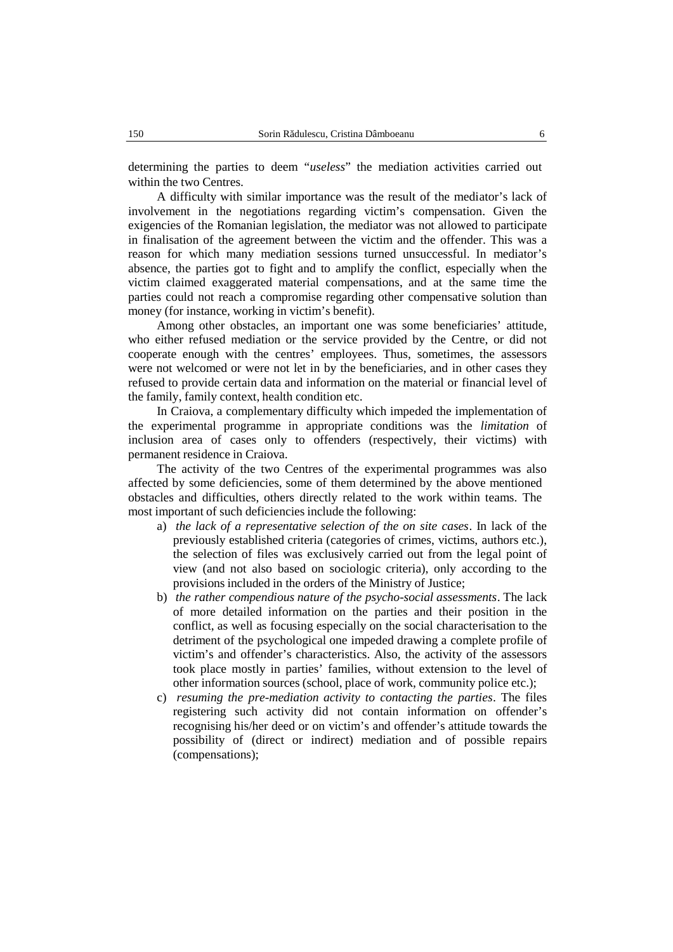determining the parties to deem "*useless*" the mediation activities carried out within the two Centres.

A difficulty with similar importance was the result of the mediator's lack of involvement in the negotiations regarding victim's compensation. Given the exigencies of the Romanian legislation, the mediator was not allowed to participate in finalisation of the agreement between the victim and the offender. This was a reason for which many mediation sessions turned unsuccessful. In mediator's absence, the parties got to fight and to amplify the conflict, especially when the victim claimed exaggerated material compensations, and at the same time the parties could not reach a compromise regarding other compensative solution than money (for instance, working in victim's benefit).

Among other obstacles, an important one was some beneficiaries' attitude, who either refused mediation or the service provided by the Centre, or did not cooperate enough with the centres' employees. Thus, sometimes, the assessors were not welcomed or were not let in by the beneficiaries, and in other cases they refused to provide certain data and information on the material or financial level of the family, family context, health condition etc.

In Craiova, a complementary difficulty which impeded the implementation of the experimental programme in appropriate conditions was the *limitation* of inclusion area of cases only to offenders (respectively, their victims) with permanent residence in Craiova.

The activity of the two Centres of the experimental programmes was also affected by some deficiencies, some of them determined by the above mentioned obstacles and difficulties, others directly related to the work within teams. The most important of such deficiencies include the following:

- a) *the lack of a representative selection of the on site cases*. In lack of the previously established criteria (categories of crimes, victims, authors etc.), the selection of files was exclusively carried out from the legal point of view (and not also based on sociologic criteria), only according to the provisions included in the orders of the Ministry of Justice;
- b) *the rather compendious nature of the psycho-social assessments*. The lack of more detailed information on the parties and their position in the conflict, as well as focusing especially on the social characterisation to the detriment of the psychological one impeded drawing a complete profile of victim's and offender's characteristics. Also, the activity of the assessors took place mostly in parties' families, without extension to the level of other information sources (school, place of work, community police etc.);
- c) *resuming the pre-mediation activity to contacting the parties*. The files registering such activity did not contain information on offender's recognising his/her deed or on victim's and offender's attitude towards the possibility of (direct or indirect) mediation and of possible repairs (compensations);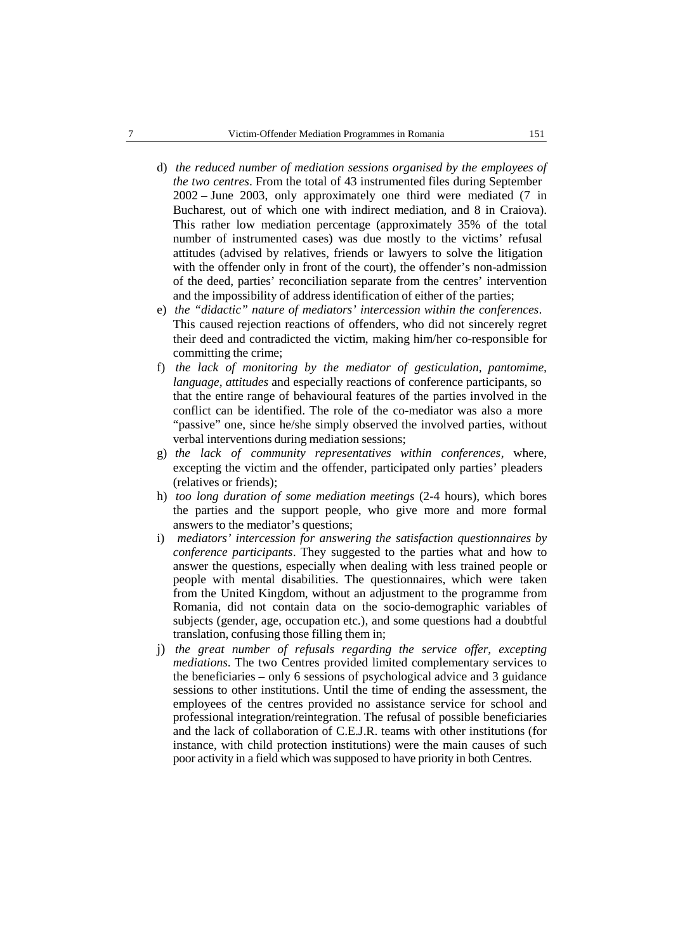- d) *the reduced number of mediation sessions organised by the employees of the two centres*. From the total of 43 instrumented files during September 2002 – June 2003, only approximately one third were mediated (7 in Bucharest, out of which one with indirect mediation, and 8 in Craiova). This rather low mediation percentage (approximately 35% of the total number of instrumented cases) was due mostly to the victims' refusal attitudes (advised by relatives, friends or lawyers to solve the litigation with the offender only in front of the court), the offender's non-admission of the deed, parties' reconciliation separate from the centres' intervention and the impossibility of address identification of either of the parties;
- e) *the "didactic" nature of mediators' intercession within the conferences*. This caused rejection reactions of offenders, who did not sincerely regret their deed and contradicted the victim, making him/her co-responsible for committing the crime;
- f) *the lack of monitoring by the mediator of gesticulation, pantomime, language, attitudes* and especially reactions of conference participants, so that the entire range of behavioural features of the parties involved in the conflict can be identified. The role of the co-mediator was also a more "passive" one, since he/she simply observed the involved parties, without verbal interventions during mediation sessions;
- g) *the lack of community representatives within conferences*, where, excepting the victim and the offender, participated only parties' pleaders (relatives or friends);
- h) *too long duration of some mediation meetings* (2-4 hours), which bores the parties and the support people, who give more and more formal answers to the mediator's questions;
- i) *mediators' intercession for answering the satisfaction questionnaires by conference participants*. They suggested to the parties what and how to answer the questions, especially when dealing with less trained people or people with mental disabilities. The questionnaires, which were taken from the United Kingdom, without an adjustment to the programme from Romania, did not contain data on the socio-demographic variables of subjects (gender, age, occupation etc.), and some questions had a doubtful translation, confusing those filling them in;
- j) *the great number of refusals regarding the service offer, excepting mediations*. The two Centres provided limited complementary services to the beneficiaries – only 6 sessions of psychological advice and 3 guidance sessions to other institutions. Until the time of ending the assessment, the employees of the centres provided no assistance service for school and professional integration/reintegration. The refusal of possible beneficiaries and the lack of collaboration of C.E.J.R. teams with other institutions (for instance, with child protection institutions) were the main causes of such poor activity in a field which was supposed to have priority in both Centres.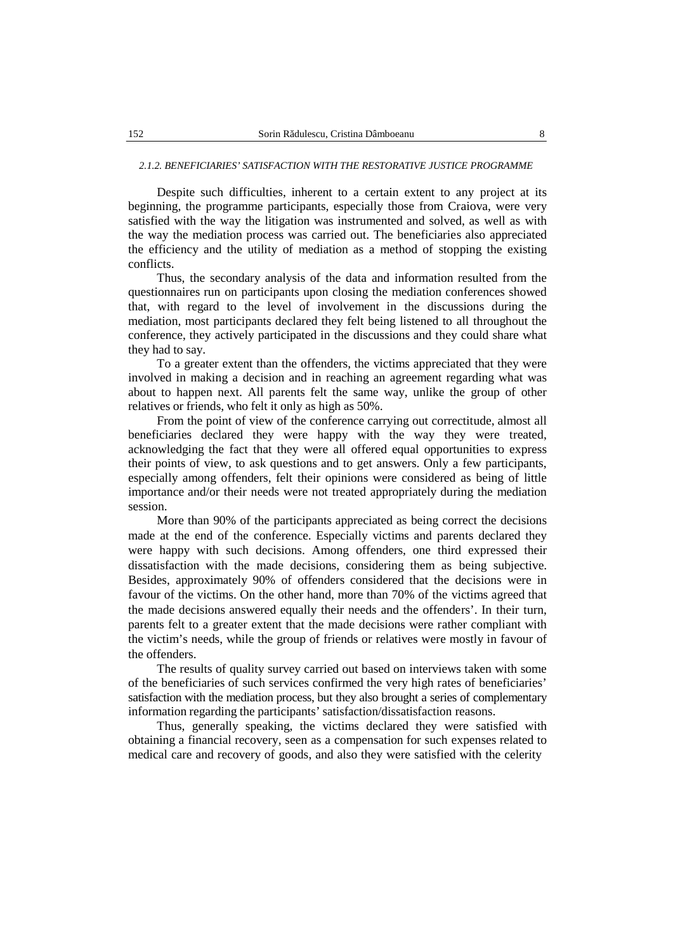#### *2.1.2. BENEFICIARIES' SATISFACTION WITH THE RESTORATIVE JUSTICE PROGRAMME*

Despite such difficulties, inherent to a certain extent to any project at its beginning, the programme participants, especially those from Craiova, were very satisfied with the way the litigation was instrumented and solved, as well as with the way the mediation process was carried out.The beneficiaries also appreciated the efficiency and the utility of mediation as a method of stopping the existing conflicts.

Thus, the secondary analysis of the data and information resulted from the questionnaires run on participants upon closing the mediation conferences showed that, with regard to the level of involvement in the discussions during the mediation, most participants declared they felt being listened to all throughout the conference, they actively participated in the discussions and they could share what they had to say.

To a greater extent than the offenders, the victims appreciated that they were involved in making a decision and in reaching an agreement regarding what was about to happen next. All parents felt the same way, unlike the group of other relatives or friends, who felt it only as high as 50%.

From the point of view of the conference carrying out correctitude, almost all beneficiaries declared they were happy with the way they were treated, acknowledging the fact that they were all offered equal opportunities to express their points of view, to ask questions and to get answers. Only a few participants, especially among offenders, felt their opinions were considered as being of little importance and/or their needs were not treated appropriately during the mediation session.

More than 90% of the participants appreciated as being correct the decisions made at the end of the conference. Especially victims and parents declared they were happy with such decisions. Among offenders, one third expressed their dissatisfaction with the made decisions, considering them as being subjective. Besides, approximately 90% of offenders considered that the decisions were in favour of the victims. On the other hand, more than 70% of the victims agreed that the made decisions answered equally their needs and the offenders'. In their turn, parents felt to a greater extent that the made decisions were rather compliant with the victim's needs, while the group of friends or relatives were mostly in favour of the offenders.

The results of quality survey carried out based on interviews taken with some of the beneficiaries of such services confirmed the very high rates of beneficiaries' satisfaction with the mediation process, but they also brought a series of complementary information regarding the participants' satisfaction/dissatisfaction reasons.

Thus, generally speaking, the victims declared they were satisfied with obtaining a financial recovery, seen as a compensation for such expenses related to medical care and recovery of goods, and also they were satisfied with the celerity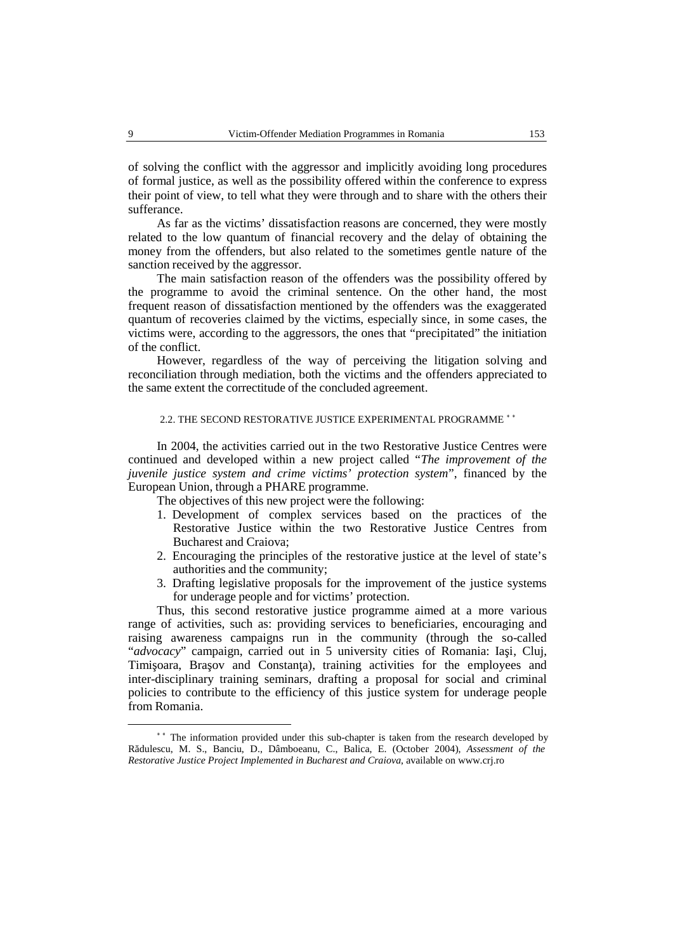of solving the conflict with the aggressor and implicitly avoiding long procedures of formal justice, as well as the possibility offered within the conference to express their point of view, to tell what they were through and to share with the others their sufferance.

As far as the victims' dissatisfaction reasons are concerned, they were mostly related to the low quantum of financial recovery and the delay of obtaining the money from the offenders, but also related to the sometimes gentle nature of the sanction received by the aggressor.

The main satisfaction reason of the offenders was the possibility offered by the programme to avoid the criminal sentence. On the other hand, the most frequent reason of dissatisfaction mentioned by the offenders was the exaggerated quantum of recoveries claimed by the victims, especially since, in some cases, the victims were, according to the aggressors, the ones that "precipitated" the initiation of the conflict.

However, regardless of the way of perceiving the litigation solving and reconciliation through mediation, both the victims and the offenders appreciated to the same extent the correctitude of the concluded agreement.

#### 2.2. THE SECOND RESTORATIVE JUSTICE EXPERIMENTAL PROGRAMME <sup>\*</sup>\*

In 2004, the activities carried out in the two Restorative Justice Centres were continued and developed within a new project called "*The improvement of the juvenile justice system and crime victims' protection system*", financed by the European Union, through a PHARE programme.

The objectives of this new project were the following:

- 1. Development of complex services based on the practices of the Restorative Justice within the two Restorative Justice Centres from Bucharest and Craiova;
- 2. Encouraging the principles of the restorative justice at the level of state's authorities and the community;
- 3. Drafting legislative proposals for the improvement of the justice systems for underage people and for victims' protection.

Thus, this second restorative justice programme aimed at a more various range of activities, such as: providing services to beneficiaries, encouraging and raising awareness campaigns run in the community (through the so-called "*advocacy*" campaign, carried out in 5 university cities of Romania: Ia i, Cluj, Timi oara, Bra ov and Constan a), training activities for the employees and inter-disciplinary training seminars, drafting a proposal for social and criminal policies to contribute to the efficiency of this justice system for underage people from Romania.<br>
• \*\* The information provided under this sub-chapter is taken from the research developed by

Rădulescu, M. S., Banciu, D., Dâmboeanu, C., Balica, E. (October 2004), *Assessment of the Restorative Justice Project Implemented in Bucharest and Craiova*, available on www.crj.ro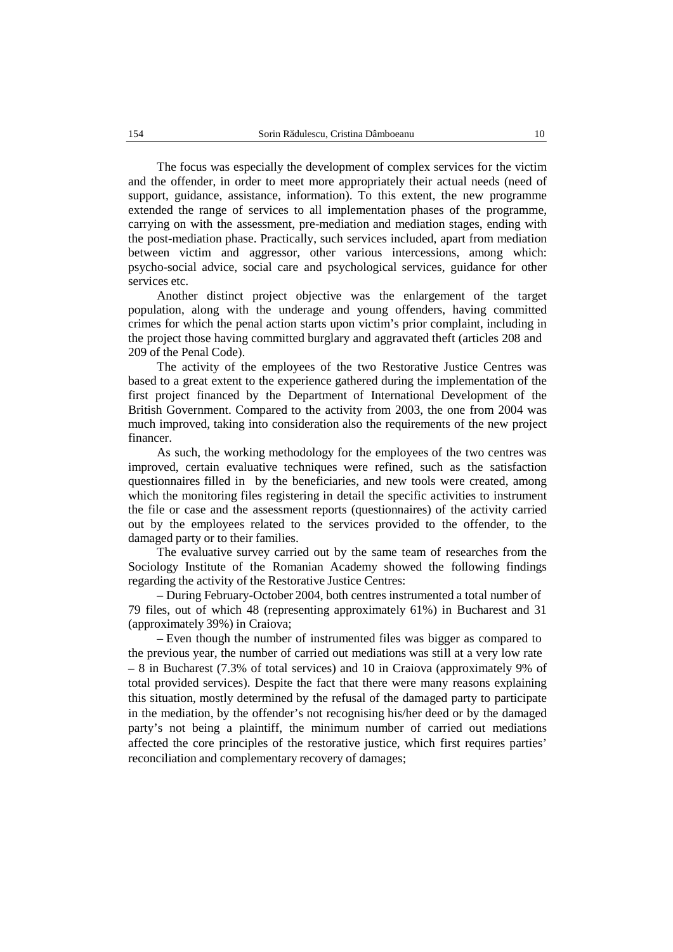The focus was especially the development of complex services for the victim and the offender, in order to meet more appropriately their actual needs (need of support, guidance, assistance, information). To this extent, the new programme extended the range of services to all implementation phases of the programme, carrying on with the assessment, pre-mediation and mediation stages, ending with the post-mediation phase. Practically, such services included, apart from mediation between victim and aggressor, other various intercessions, among which: psycho-social advice, social care and psychological services, guidance for other services etc.

Another distinct project objective was the enlargement of the target population, along with the underage and young offenders, having committed crimes for which the penal action starts upon victim's prior complaint, including in the project those having committed burglary and aggravated theft (articles 208 and 209 of the Penal Code).

The activity of the employees of the two Restorative Justice Centres was based to a great extent to the experience gathered during the implementation of the first project financed by the Department of International Development of the British Government. Compared to the activity from 2003, the one from 2004 was much improved, taking into consideration also the requirements of the new project financer.

As such, the working methodology for the employees of the two centres was improved, certain evaluative techniques were refined, such as the satisfaction questionnaires filled in by the beneficiaries, and new tools were created, among which the monitoring files registering in detail the specific activities to instrument the file or case and the assessment reports (questionnaires) of the activity carried out by the employees related to the services provided to the offender, to the damaged party or to their families.

The evaluative survey carried out by the same team of researches from the Sociology Institute of the Romanian Academy showed the following findings regarding the activity of the Restorative Justice Centres:

– During February-October 2004, both centres instrumented a total number of 79 files, out of which 48 (representing approximately 61%) in Bucharest and 31 (approximately 39%) in Craiova;

– Even though the number of instrumented files was bigger as compared to the previous year, the number of carried out mediations was still at a very low rate – 8 in Bucharest (7.3% of total services) and 10 in Craiova (approximately 9% of total provided services). Despite the fact that there were many reasons explaining this situation, mostly determined by the refusal of the damaged party to participate in the mediation, by the offender's not recognising his/her deed or by the damaged party's not being a plaintiff, the minimum number of carried out mediations affected the core principles of the restorative justice, which first requires parties' reconciliation and complementary recovery of damages;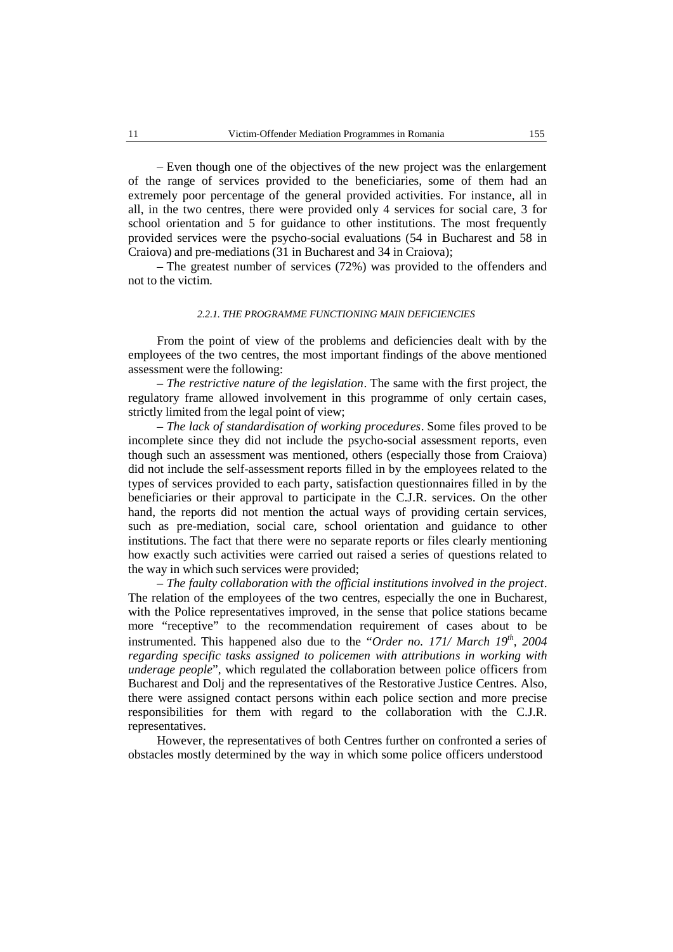– Even though one of the objectives of the new project was the enlargement of the range of services provided to the beneficiaries, some of them had an extremely poor percentage of the general provided activities. For instance, all in all, in the two centres, there were provided only 4 services for social care, 3 for school orientation and 5 for guidance to other institutions. The most frequently provided services were the psycho-social evaluations (54 in Bucharest and 58 in Craiova) and pre-mediations (31 in Bucharest and 34 in Craiova);

– The greatest number of services (72%) was provided to the offenders and not to the victim.

### *2.2.1. THE PROGRAMME FUNCTIONING MAIN DEFICIENCIES*

From the point of view of the problems and deficiencies dealt with by the employees of the two centres, the most important findings of the above mentioned assessment were the following:

– *The restrictive nature of the legislation*. The same with the first project, the regulatory frame allowed involvement in this programme of only certain cases, strictly limited from the legal point of view;

– *The lack of standardisation of working procedures*. Some files proved to be incomplete since they did not include the psycho-social assessment reports, even though such an assessment was mentioned, others (especially those from Craiova) did not include the self-assessment reports filled in by the employees related to the types of services provided to each party, satisfaction questionnaires filled in by the beneficiaries or their approval to participate in the C.J.R. services. On the other hand, the reports did not mention the actual ways of providing certain services, such as pre-mediation, social care, school orientation and guidance to other institutions. The fact that there were no separate reports or files clearly mentioning how exactly such activities were carried out raised a series of questions related to the way in which such services were provided;

– *The faulty collaboration with the official institutions involved in the project*. The relation of the employees of the two centres, especially the one in Bucharest, with the Police representatives improved, in the sense that police stations became more "receptive" to the recommendation requirement of cases about to be instrumented. This happened also due to the "*Order no. 171/ March 19th , 2004 regarding specific tasks assigned to policemen with attributions in working with underage people*", which regulated the collaboration between police officers from Bucharest and Dolj and the representatives of the Restorative Justice Centres. Also, there were assigned contact persons within each police section and more precise responsibilities for them with regard to the collaboration with the C.J.R. representatives.

However, the representatives of both Centres further on confronted a series of obstacles mostly determined by the way in which some police officers understood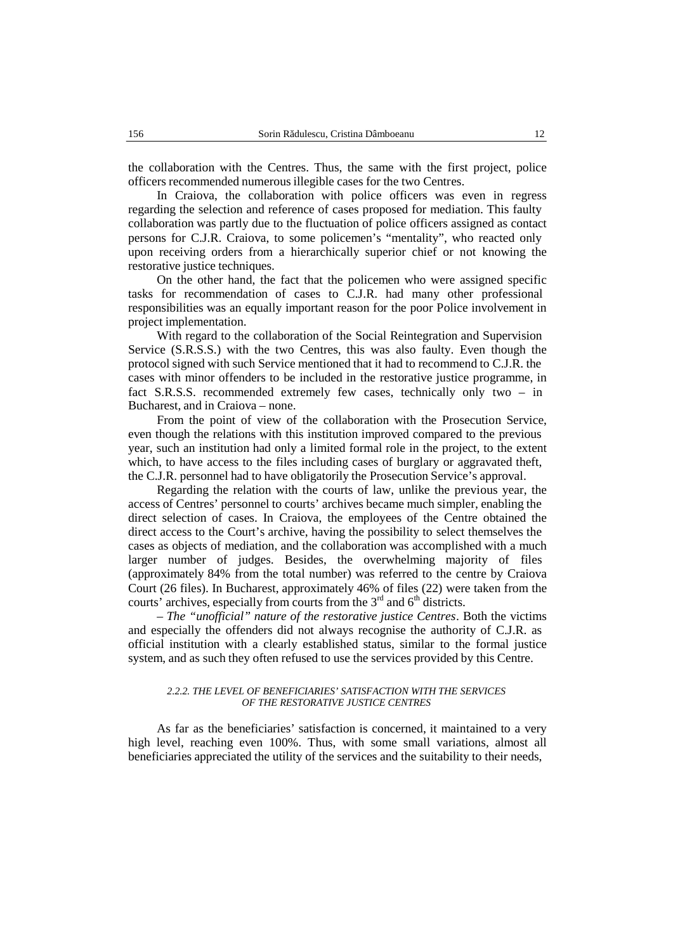the collaboration with the Centres. Thus, the same with the first project, police officers recommended numerous illegible cases for the two Centres.

In Craiova, the collaboration with police officers was even in regress regarding the selection and reference of cases proposed for mediation. This faulty collaboration was partly due to the fluctuation of police officers assigned as contact persons for C.J.R. Craiova, to some policemen's "mentality", who reacted only upon receiving orders from a hierarchically superior chief or not knowing the restorative justice techniques.

On the other hand, the fact that the policemen who were assigned specific tasks for recommendation of cases to C.J.R. had many other professional responsibilities was an equally important reason for the poor Police involvement in project implementation.

With regard to the collaboration of the Social Reintegration and Supervision Service (S.R.S.S.) with the two Centres, this was also faulty. Even though the protocol signed with such Service mentioned that it had to recommend to C.J.R. the cases with minor offenders to be included in the restorative justice programme, in fact S.R.S.S. recommended extremely few cases, technically only two – in Bucharest, and in Craiova – none.

From the point of view of the collaboration with the Prosecution Service, even though the relations with this institution improved compared to the previous year, such an institution had only a limited formal role in the project, to the extent which, to have access to the files including cases of burglary or aggravated theft, the C.J.R. personnel had to have obligatorily the Prosecution Service's approval.

Regarding the relation with the courts of law, unlike the previous year, the access of Centres' personnel to courts' archives became much simpler, enabling the direct selection of cases. In Craiova, the employees of the Centre obtained the direct access to the Court's archive, having the possibility to select themselves the cases as objects of mediation, and the collaboration was accomplished with a much larger number of judges. Besides, the overwhelming majority of files (approximately 84% from the total number) was referred to the centre by Craiova Court (26 files). In Bucharest, approximately 46% of files (22) were taken from the courts' archives, especially from courts from the  $3<sup>rd</sup>$  and  $6<sup>th</sup>$  districts.

*– The "unofficial" nature of the restorative justice Centres*. Both the victims and especially the offenders did not always recognise the authority of C.J.R. as official institution with a clearly established status, similar to the formal justice system, and as such they often refused to use the services provided by this Centre.

#### *2.2.2. THE LEVEL OF BENEFICIARIES' SATISFACTION WITH THE SERVICES OF THE RESTORATIVE JUSTICE CENTRES*

As far as the beneficiaries' satisfaction is concerned, it maintained to a very high level, reaching even 100%. Thus, with some small variations, almost all beneficiaries appreciated the utility of the services and the suitability to their needs,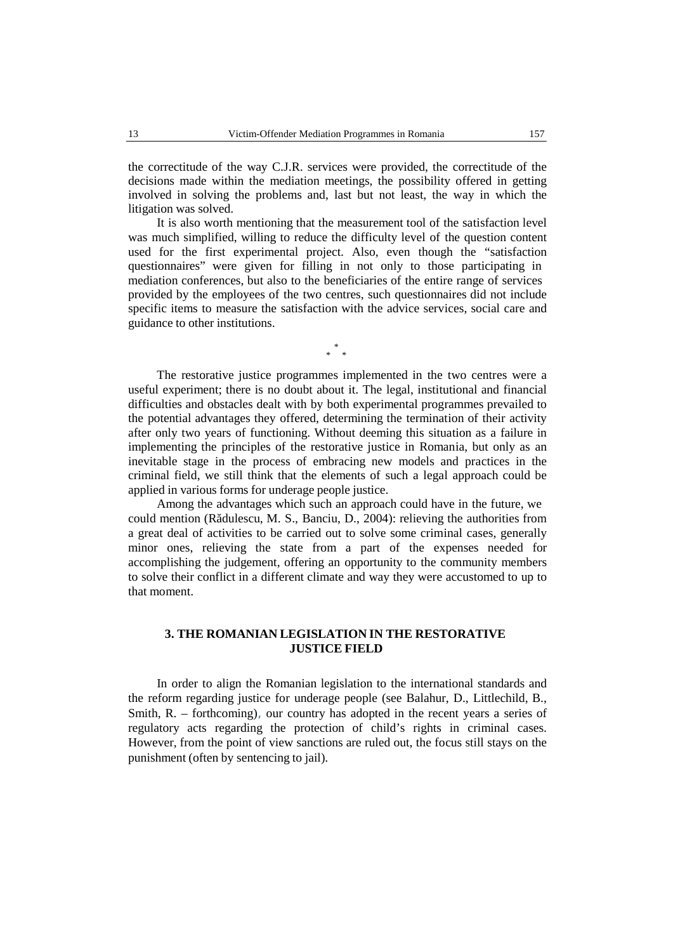the correctitude of the way C.J.R. services were provided, the correctitude of the decisions made within the mediation meetings, the possibility offered in getting involved in solving the problems and, last but not least, the way in which the litigation was solved.

It is also worth mentioning that the measurement tool of the satisfaction level was much simplified, willing to reduce the difficulty level of the question content used for the first experimental project. Also, even though the "satisfaction questionnaires" were given for filling in not only to those participating in mediation conferences, but also to the beneficiaries of the entire range of services provided by the employees of the two centres, such questionnaires did not include specific items to measure the satisfaction with the advice services, social care and guidance to other institutions.

> \* \* \*

The restorative justice programmes implemented in the two centres were a useful experiment; there is no doubt about it. The legal, institutional and financial difficulties and obstacles dealt with by both experimental programmes prevailed to the potential advantages they offered, determining the termination of their activity after only two years of functioning. Without deeming this situation as a failure in implementing the principles of the restorative justice in Romania, but only as an inevitable stage in the process of embracing new models and practices in the criminal field, we still think that the elements of such a legal approach could be applied in various forms for underage people justice.

Among the advantages which such an approach could have in the future, we could mention (R dulescu, M. S., Banciu, D., 2004): relieving the authorities from a great deal of activities to be carried out to solve some criminal cases, generally minor ones, relieving the state from a part of the expenses needed for accomplishing the judgement, offering an opportunity to the community members to solve their conflict in a different climate and way they were accustomed to up to that moment.

## **3. THE ROMANIAN LEGISLATION IN THE RESTORATIVE JUSTICE FIELD**

In order to align the Romanian legislation to the international standards and the reform regarding justice for underage people (see Balahur, D., Littlechild, B., Smith, R. – forthcoming), our country has adopted in the recent years a series of regulatory acts regarding the protection of child's rights in criminal cases. However, from the point of view sanctions are ruled out, the focus still stays on the punishment (often by sentencing to jail).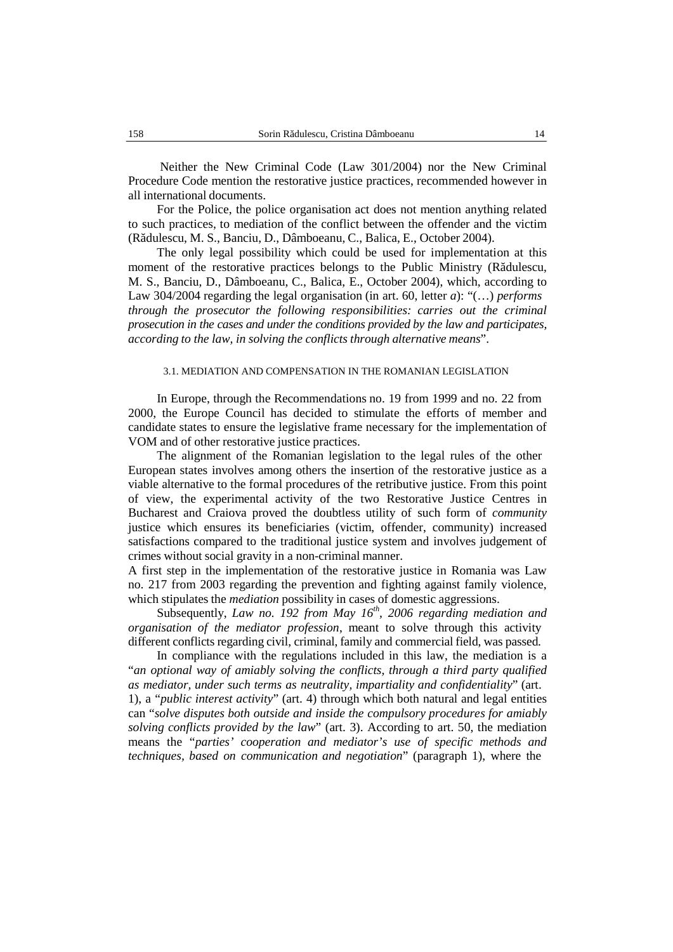Neither the New Criminal Code (Law 301/2004) nor the New Criminal Procedure Code mention the restorative justice practices, recommended however in all international documents.

For the Police, the police organisation act does not mention anything related to such practices, to mediation of the conflict between the offender and the victim (Rădulescu, M. S., Banciu, D., Dâmboeanu, C., Balica, E., October 2004).

The only legal possibility which could be used for implementation at this moment of the restorative practices belongs to the Public Ministry  $(R)$  dulescu, M. S., Banciu, D., Dâmboeanu, C., Balica, E., October 2004), which, according to Law 304/2004 regarding the legal organisation (in art. 60, letter *a*): "(…) *performs through the prosecutor the following responsibilities: carries out the criminal prosecution in the cases and under the conditions provided by the law and participates, according to the law, in solving the conflicts through alternative means*".

#### 3.1. MEDIATION AND COMPENSATION IN THE ROMANIAN LEGISLATION

In Europe, through the Recommendations no. 19 from 1999 and no. 22 from 2000, the Europe Council has decided to stimulate the efforts of member and candidate states to ensure the legislative frame necessary for the implementation of VOM and of other restorative justice practices.

The alignment of the Romanian legislation to the legal rules of the other European states involves among others the insertion of the restorative justice as a viable alternative to the formal procedures of the retributive justice. From this point of view, the experimental activity of the two Restorative Justice Centres in Bucharest and Craiova proved the doubtless utility of such form of *community* justice which ensures its beneficiaries (victim, offender, community) increased satisfactions compared to the traditional justice system and involves judgement of crimes without social gravity in a non-criminal manner.

A first step in the implementation of the restorative justice in Romania was Law no. 217 from 2003 regarding the prevention and fighting against family violence, which stipulates the *mediation* possibility in cases of domestic aggressions.

Subsequently, *Law no. 192 from May 16 th , 2006 regarding mediation and organisation of the mediator profession*, meant to solve through this activity different conflicts regarding civil, criminal, family and commercial field, was passed.

In compliance with the regulations included in this law, the mediation is a "*an optional way of amiably solving the conflicts, through a third party qualified as mediator, under such terms as neutrality, impartiality and confidentiality*" (art. 1), a "*public interest activity*" (art. 4) through which both natural and legal entities can "*solve disputes both outside and inside the compulsory procedures for amiably solving conflicts provided by the law*" (art. 3). According to art. 50, the mediation means the "*parties' cooperation and mediator's use of specific methods and techniques, based on communication and negotiation*" (paragraph 1), where the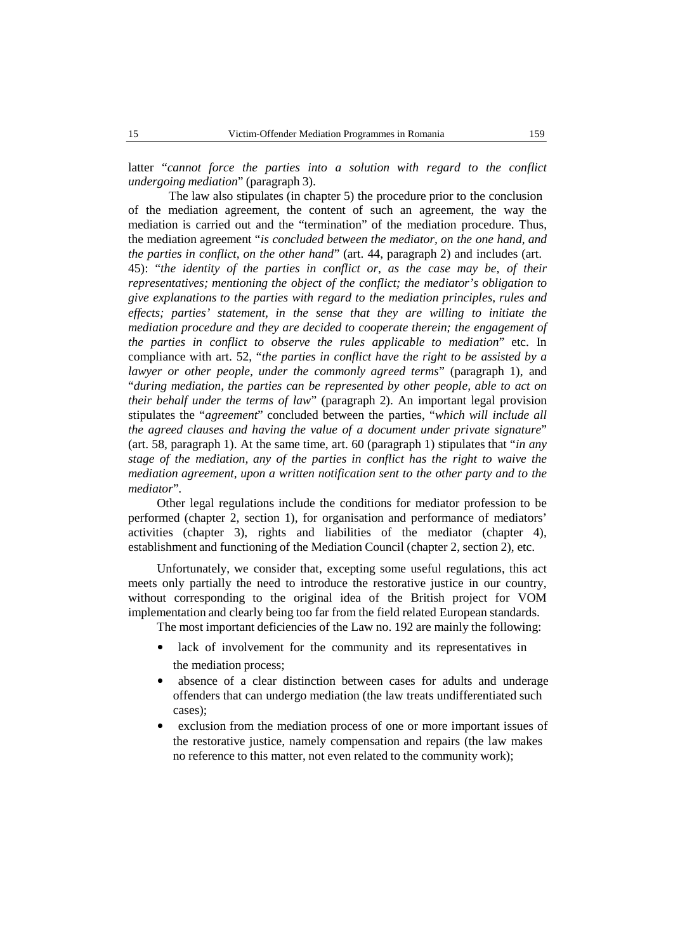latter "*cannot force the parties into a solution with regard to the conflict undergoing mediation*" (paragraph 3).

The law also stipulates (in chapter 5) the procedure prior to the conclusion of the mediation agreement, the content of such an agreement, the way the mediation is carried out and the "termination" of the mediation procedure. Thus, the mediation agreement "*is concluded between the mediator, on the one hand, and the parties in conflict, on the other hand*" (art. 44, paragraph 2) and includes (art. 45): "*the identity of the parties in conflict or, as the case may be, of their representatives; mentioning the object of the conflict; the mediator's obligation to give explanations to the parties with regard to the mediation principles, rules and effects; parties' statement, in the sense that they are willing to initiate the mediation procedure and they are decided to cooperate therein; the engagement of the parties in conflict to observe the rules applicable to mediation*" etc. In compliance with art. 52, "*the parties in conflict have the right to be assisted by a lawyer or other people, under the commonly agreed terms*" (paragraph 1), and "*during mediation, the parties can be represented by other people, able to acton their behalf under the terms of law*" (paragraph 2). An important legal provision stipulates the "*agreement*" concluded between the parties, "*which will include all the agreed clauses and having the value of a document under private signature*" (art. 58, paragraph 1). At the same time, art. 60 (paragraph 1) stipulates that "*in any stage of the mediation, any ofthe parties in conflict has the right to waive the mediation agreement, upon a written notification sent to the other party and to the mediator*"*.*

Other legal regulations include the conditions for mediator profession to be performed (chapter 2, section 1), for organisation and performance of mediators' activities (chapter 3), rights and liabilities of the mediator (chapter 4), establishment and functioning of the Mediation Council (chapter 2, section 2), etc.

Unfortunately, we consider that, excepting some useful regulations, this act meets only partially the need to introduce the restorative justice in our country, without corresponding to the original idea of the British project for VOM implementation and clearly being too far from the field related European standards.

The most important deficiencies of the Law no. 192 are mainly the following:

- lack of involvement for the community and its representatives in the mediation process;
- absence of a clear distinction between cases for adults and underage offenders that can undergo mediation (the law treats undifferentiated such cases);
- exclusion from the mediation process of one or more important issues of the restorative justice, namely compensation and repairs (the law makes no reference to this matter, not even related to the community work);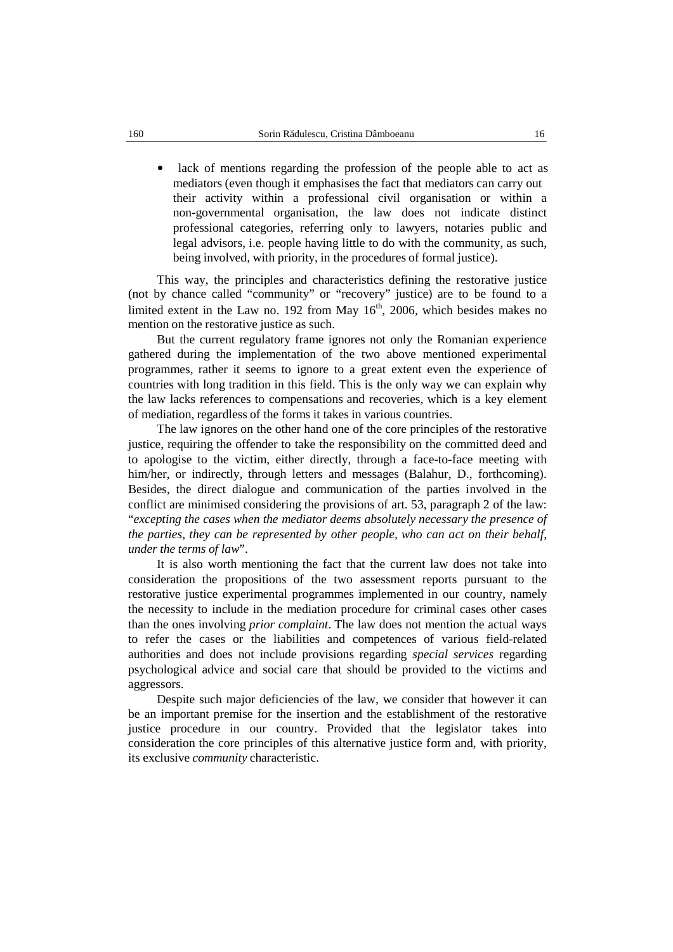$\bullet$  lack of mentions regarding the profession of the people able to act as mediators (even though it emphasises the fact that mediators can carry out their activity within a professional civil organisation or within a non-governmental organisation, the law does not indicate distinct professional categories, referring only to lawyers, notaries public and legal advisors, i.e. people having little to do with the community, as such, being involved, with priority, in the procedures of formal justice).

This way, the principles and characteristics defining the restorative justice (not by chance called "community" or "recovery" justice) are to be found to a limited extent in the Law no. 192 from May 16<sup>th</sup>, 2006, which besides makes no mention on the restorative justice as such.

But the current regulatory frame ignores not only the Romanian experience gathered during the implementation of the two above mentioned experimental programmes, rather it seems to ignore to a great extent even the experience of countries with long tradition in this field. This is the only way we can explain why the law lacks references to compensations and recoveries, which is a key element of mediation, regardless of the forms it takes in various countries.

The law ignores on the other hand one of the core principles of the restorative justice, requiring the offender to take the responsibility on the committed deed and to apologise to the victim, either directly, through a face-to-face meeting with him/her, or indirectly, through letters and messages (Balahur, D., forthcoming). Besides, the direct dialogue and communication of the parties involved in the conflict are minimised considering the provisions of art. 53, paragraph 2 of the law: "*excepting the cases when the mediator deems absolutely necessary the presence of the parties, they can be represented by other people, who can act on their behalf, under the terms of law*".

It is also worth mentioning the fact that the current law does not take into consideration the propositions of the two assessment reports pursuant to the restorative justice experimental programmes implemented in our country, namely the necessity to include in the mediation procedure for criminal cases other cases than the ones involving *prior complaint*. The law does not mention the actual ways to refer the cases or the liabilities and competences of various field-related authorities and does not include provisions regarding *special services* regarding psychological advice and social care that should be provided to the victims and aggressors.

Despite such major deficiencies of the law, we consider that however it can be an important premise for the insertion and the establishment of the restorative justice procedure in our country. Provided that the legislator takes into consideration the core principles of this alternative justice form and, with priority, its exclusive *community* characteristic.